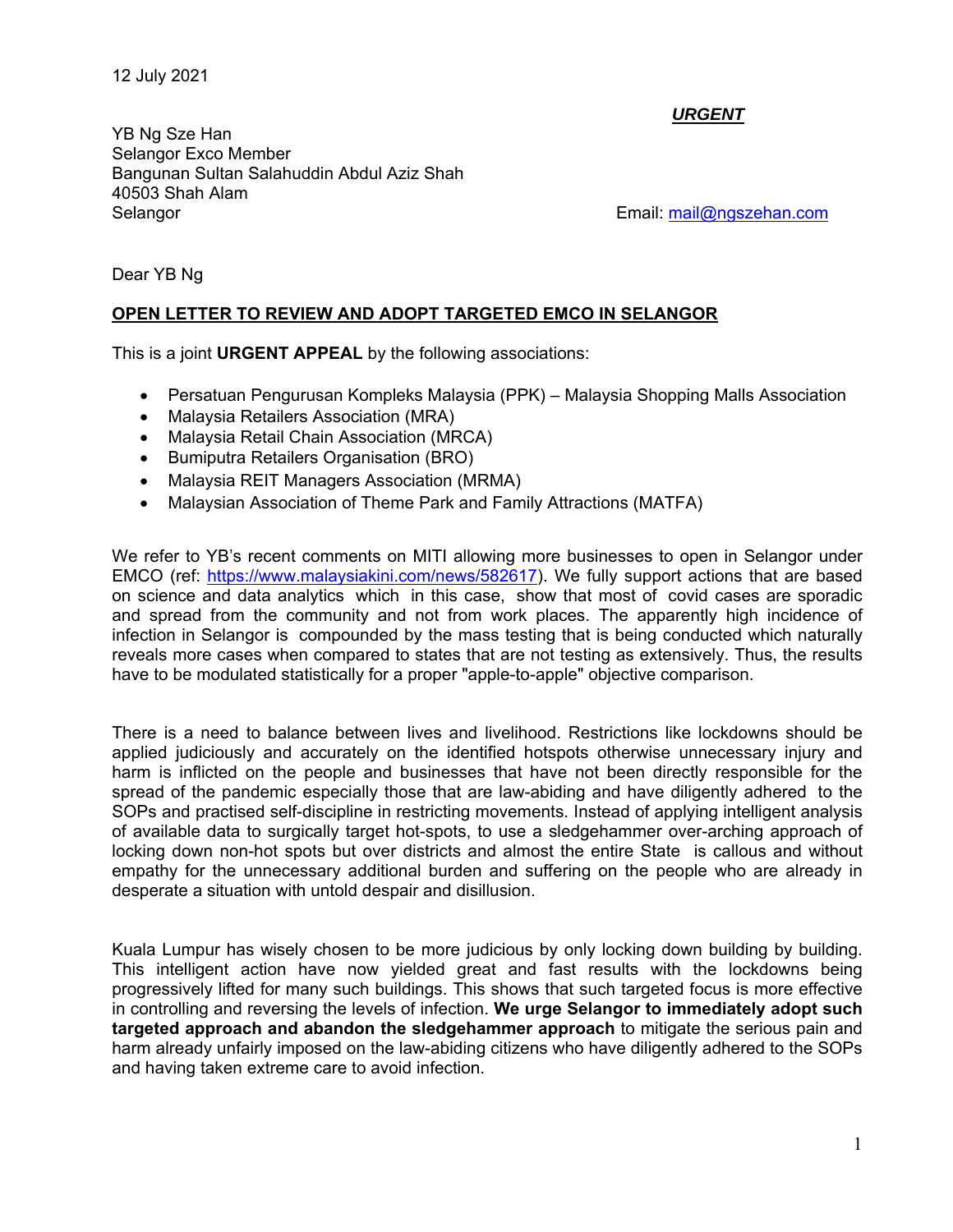12 July 2021

*URGENT* 

YB Ng Sze Han Selangor Exco Member Bangunan Sultan Salahuddin Abdul Aziz Shah 40503 Shah Alam Selangor Email: mail@ngszehan.com

Dear YB Ng

## **OPEN LETTER TO REVIEW AND ADOPT TARGETED EMCO IN SELANGOR**

This is a joint **URGENT APPEAL** by the following associations:

- Persatuan Pengurusan Kompleks Malaysia (PPK) Malaysia Shopping Malls Association
- Malaysia Retailers Association (MRA)
- Malaysia Retail Chain Association (MRCA)
- **•** Bumiputra Retailers Organisation (BRO)
- Malaysia REIT Managers Association (MRMA)
- Malaysian Association of Theme Park and Family Attractions (MATFA)

We refer to YB's recent comments on MITI allowing more businesses to open in Selangor under EMCO (ref: https://www.malaysiakini.com/news/582617). We fully support actions that are based on science and data analytics which in this case, show that most of covid cases are sporadic and spread from the community and not from work places. The apparently high incidence of infection in Selangor is compounded by the mass testing that is being conducted which naturally reveals more cases when compared to states that are not testing as extensively. Thus, the results have to be modulated statistically for a proper "apple-to-apple" objective comparison.

There is a need to balance between lives and livelihood. Restrictions like lockdowns should be applied judiciously and accurately on the identified hotspots otherwise unnecessary injury and harm is inflicted on the people and businesses that have not been directly responsible for the spread of the pandemic especially those that are law-abiding and have diligently adhered to the SOPs and practised self-discipline in restricting movements. Instead of applying intelligent analysis of available data to surgically target hot-spots, to use a sledgehammer over-arching approach of locking down non-hot spots but over districts and almost the entire State is callous and without empathy for the unnecessary additional burden and suffering on the people who are already in desperate a situation with untold despair and disillusion.

Kuala Lumpur has wisely chosen to be more judicious by only locking down building by building. This intelligent action have now yielded great and fast results with the lockdowns being progressively lifted for many such buildings. This shows that such targeted focus is more effective in controlling and reversing the levels of infection. **We urge Selangor to immediately adopt such targeted approach and abandon the sledgehammer approach** to mitigate the serious pain and harm already unfairly imposed on the law-abiding citizens who have diligently adhered to the SOPs and having taken extreme care to avoid infection.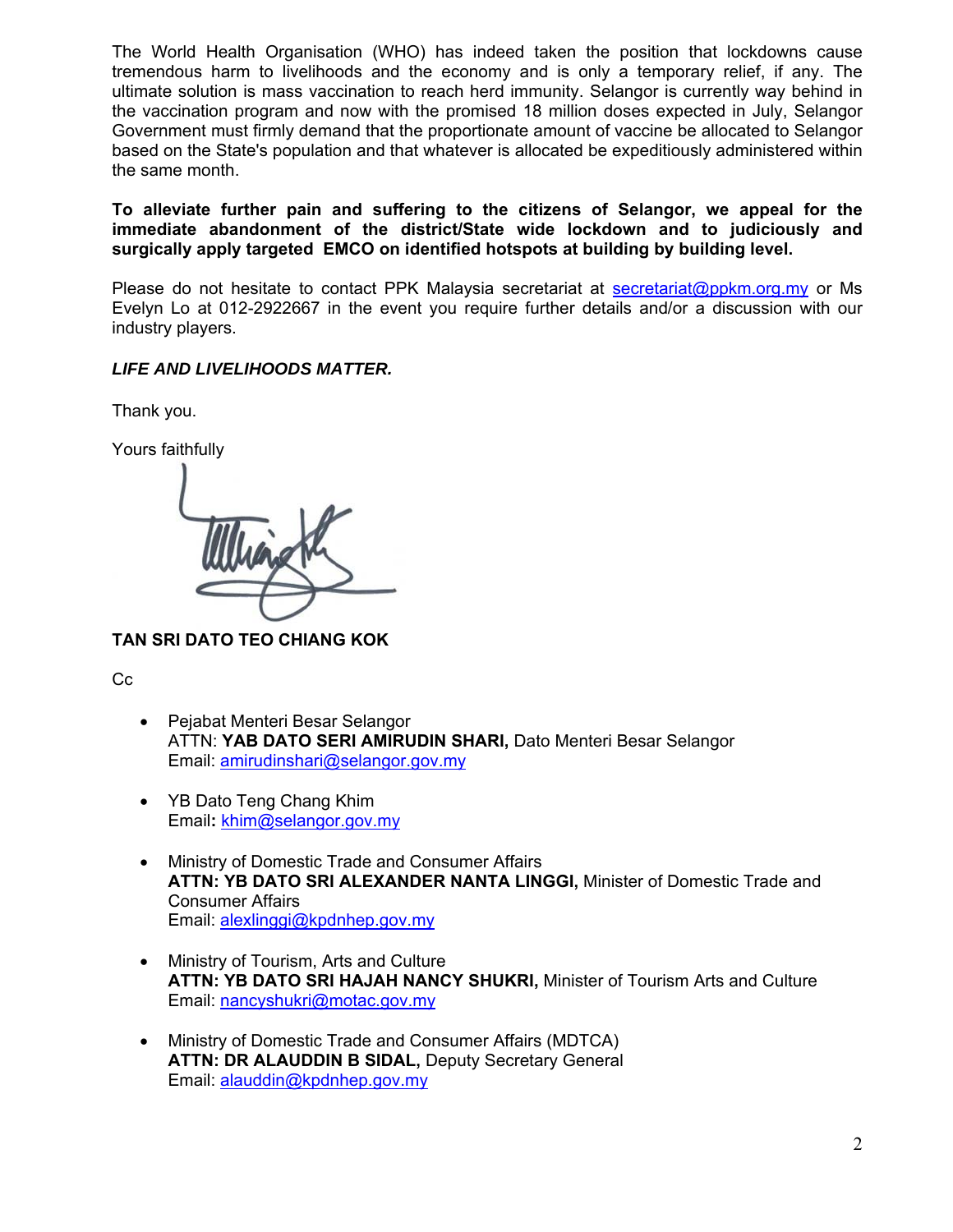The World Health Organisation (WHO) has indeed taken the position that lockdowns cause tremendous harm to livelihoods and the economy and is only a temporary relief, if any. The ultimate solution is mass vaccination to reach herd immunity. Selangor is currently way behind in the vaccination program and now with the promised 18 million doses expected in July, Selangor Government must firmly demand that the proportionate amount of vaccine be allocated to Selangor based on the State's population and that whatever is allocated be expeditiously administered within the same month.

**To alleviate further pain and suffering to the citizens of Selangor, we appeal for the immediate abandonment of the district/State wide lockdown and to judiciously and surgically apply targeted EMCO on identified hotspots at building by building level.** 

Please do not hesitate to contact PPK Malaysia secretariat at secretariat@ppkm.org.my or Ms Evelyn Lo at 012-2922667 in the event you require further details and/or a discussion with our industry players.

## *LIFE AND LIVELIHOODS MATTER.*

Thank you.

Yours faithfully

**TAN SRI DATO TEO CHIANG KOK** 

Cc

- Pejabat Menteri Besar Selangor ATTN: **YAB DATO SERI AMIRUDIN SHARI,** Dato Menteri Besar Selangor Email: amirudinshari@selangor.gov.my
- YB Dato Teng Chang Khim Email**:** khim@selangor.gov.my
- Ministry of Domestic Trade and Consumer Affairs **ATTN: YB DATO SRI ALEXANDER NANTA LINGGI,** Minister of Domestic Trade and Consumer Affairs Email: alexlinggi@kpdnhep.gov.my
- Ministry of Tourism, Arts and Culture **ATTN: YB DATO SRI HAJAH NANCY SHUKRI,** Minister of Tourism Arts and Culture Email: nancyshukri@motac.gov.my
- Ministry of Domestic Trade and Consumer Affairs (MDTCA)  **ATTN: DR ALAUDDIN B SIDAL,** Deputy Secretary General Email: alauddin@kpdnhep.gov.my